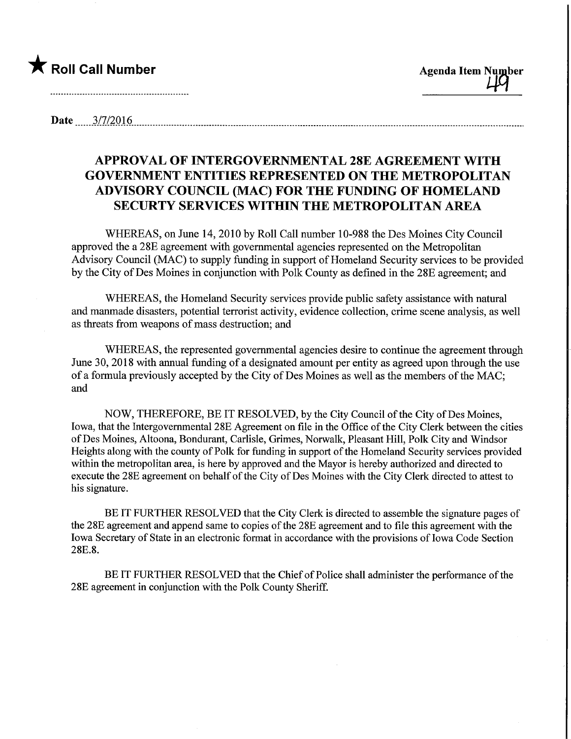

Date 3/7/2016 2010 2020 3120 320 320 321 321 332 340 351 362 363 364 370 384 385 386 397 386 397 398 398 398 39

## APPROVAL OF INTERGOVERNMENTAL 28E AGREEMENT WITH GOVERNMENT ENTITIES REPRESENTED ON THE METROPOLITAN ADVISORY COUNCIL (MAC) FOR THE FUNDING OF HOMELAND SECURTY SERVICES WITHIN THE METROPOLITAN AREA

WHEREAS, on June 14, 2010 by Roll Call number 10-988 the Des Moines City Council approved the a 28E agreement with governmental agencies represented on the Metropolitan Advisory Council (MAC) to supply funding in support of Homeland Security services to be provided by the City of Des Moines in conjunction with Polk County as defined in the 28E agreement; and

WHEREAS, the Homeland Security services provide public safety assistance with natural and manmade disasters, potential terrorist activity, evidence collection, crime scene analysis, as well as threats from weapons of mass destmction; and

WHEREAS, the represented governmental agencies desire to continue the agreement through June 30, 2018 with annual funding of a designated amount per entity as agreed upon through the use of a formula previously accepted by the City of Des Moines as well as the members of the MAC; and

NOW, THEREFORE, BE IT RESOLVED, by the City Council of the City of Des Moines, Iowa, that the Intergovernmental 28E Agreement on file in the Office of the City Clerk between the cities ofDes Moines, Altoona, Bondurant, Carlisle, Grimes, Norwalk, Pleasant Hill, Polk City and Windsor Heights along with the county of Polk for funding in support of the Homeland Security services provided within the metropolitan area, is here by approved and the Mayor is hereby authorized and directed to execute the 28E agreement on behalf of the City of Des Moines with the City Clerk directed to attest to his signature.

BE IT FURTHER RESOLVED that the City Clerk is directed to assemble the signature pages of the 28E agreement and append same to copies of the 28E agreement and to file this agreement with the Iowa Secretary of State in an electronic format in accordance with the provisions of Iowa Code Section 28E.8.

BE IT FURTHER RESOLVED that the Chief of Police shall administer the performance of the 28E agreement in conjunction with the Polk County Sheriff.